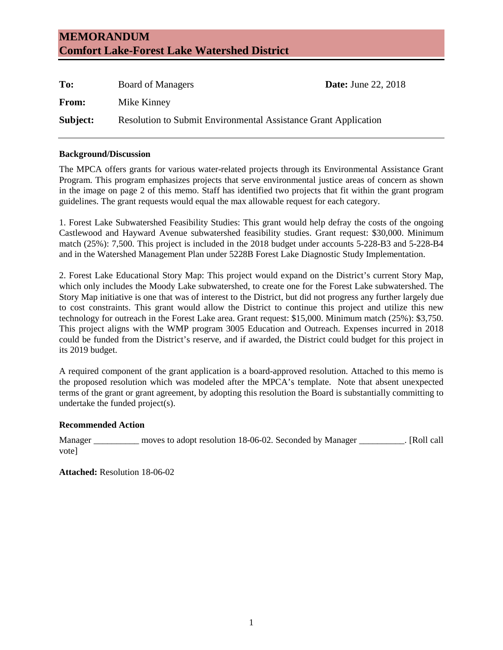# **MEMORANDUM Comfort Lake-Forest Lake Watershed District**

| To:      | Board of Managers                                                      | <b>Date:</b> June 22, 2018 |
|----------|------------------------------------------------------------------------|----------------------------|
| From:    | Mike Kinney                                                            |                            |
| Subject: | <b>Resolution to Submit Environmental Assistance Grant Application</b> |                            |

## **Background/Discussion**

The MPCA offers grants for various water-related projects through its Environmental Assistance Grant Program. This program emphasizes projects that serve environmental justice areas of concern as shown in the image on page 2 of this memo. Staff has identified two projects that fit within the grant program guidelines. The grant requests would equal the max allowable request for each category.

1. Forest Lake Subwatershed Feasibility Studies: This grant would help defray the costs of the ongoing Castlewood and Hayward Avenue subwatershed feasibility studies. Grant request: \$30,000. Minimum match (25%): 7,500. This project is included in the 2018 budget under accounts 5-228-B3 and 5-228-B4 and in the Watershed Management Plan under 5228B Forest Lake Diagnostic Study Implementation.

2. Forest Lake Educational Story Map: This project would expand on the District's current Story Map, which only includes the Moody Lake subwatershed, to create one for the Forest Lake subwatershed. The Story Map initiative is one that was of interest to the District, but did not progress any further largely due to cost constraints. This grant would allow the District to continue this project and utilize this new technology for outreach in the Forest Lake area. Grant request: \$15,000. Minimum match (25%): \$3,750. This project aligns with the WMP program 3005 Education and Outreach. Expenses incurred in 2018 could be funded from the District's reserve, and if awarded, the District could budget for this project in its 2019 budget.

A required component of the grant application is a board-approved resolution. Attached to this memo is the proposed resolution which was modeled after the MPCA's template. Note that absent unexpected terms of the grant or grant agreement, by adopting this resolution the Board is substantially committing to undertake the funded project(s).

# **Recommended Action**

Manager \_\_\_\_\_\_\_\_\_\_ moves to adopt resolution 18-06-02. Seconded by Manager \_\_\_\_\_\_\_\_\_\_. [Roll call vote]

**Attached:** Resolution 18-06-02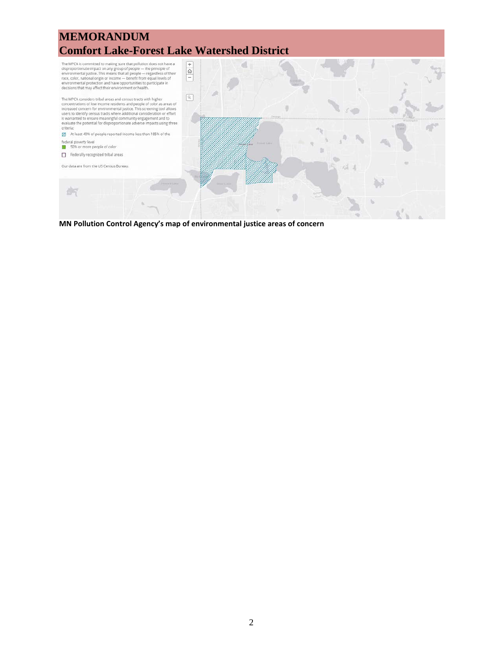

**MN Pollution Control Agency's map of environmental justice areas of concern**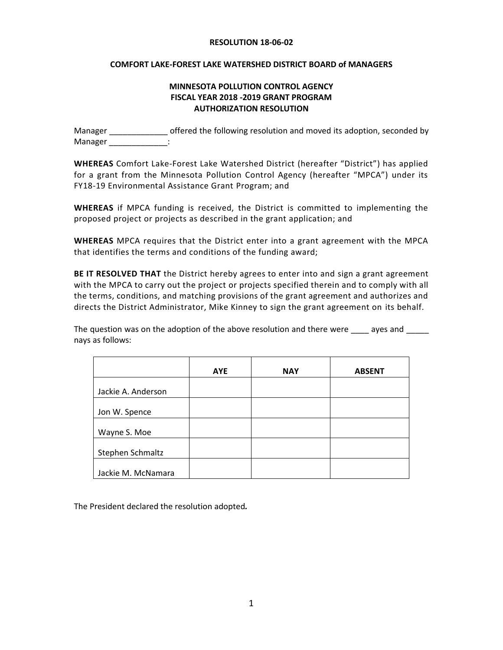#### **RESOLUTION 18-06-02**

### **COMFORT LAKE-FOREST LAKE WATERSHED DISTRICT BOARD of MANAGERS**

# **MINNESOTA POLLUTION CONTROL AGENCY FISCAL YEAR 2018 -2019 GRANT PROGRAM AUTHORIZATION RESOLUTION**

Manager \_\_\_\_\_\_\_\_\_\_\_\_\_\_\_\_ offered the following resolution and moved its adoption, seconded by Manager in the set of the set of the set of the set of the set of the set of the set of the set of the set of the set of the set of the set of the set of the set of the set of the set of the set of the set of the set of th

**WHEREAS** Comfort Lake-Forest Lake Watershed District (hereafter "District") has applied for a grant from the Minnesota Pollution Control Agency (hereafter "MPCA") under its FY18-19 Environmental Assistance Grant Program; and

**WHEREAS** if MPCA funding is received, the District is committed to implementing the proposed project or projects as described in the grant application; and

**WHEREAS** MPCA requires that the District enter into a grant agreement with the MPCA that identifies the terms and conditions of the funding award;

**BE IT RESOLVED THAT** the District hereby agrees to enter into and sign a grant agreement with the MPCA to carry out the project or projects specified therein and to comply with all the terms, conditions, and matching provisions of the grant agreement and authorizes and directs the District Administrator, Mike Kinney to sign the grant agreement on its behalf.

The question was on the adoption of the above resolution and there were ayes and nays as follows:

|                    | <b>AYE</b> | <b>NAY</b> | <b>ABSENT</b> |
|--------------------|------------|------------|---------------|
|                    |            |            |               |
| Jackie A. Anderson |            |            |               |
|                    |            |            |               |
| Jon W. Spence      |            |            |               |
|                    |            |            |               |
| Wayne S. Moe       |            |            |               |
|                    |            |            |               |
| Stephen Schmaltz   |            |            |               |
|                    |            |            |               |
| Jackie M. McNamara |            |            |               |

The President declared the resolution adopted*.*